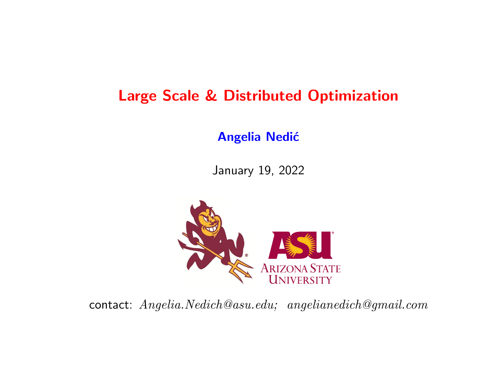# Large Scale & Distributed Optimization

#### **Angelia Nedić**

January 19, 2022



contact: Angelia.Nedich@asu.edu; angelianedich@gmail.com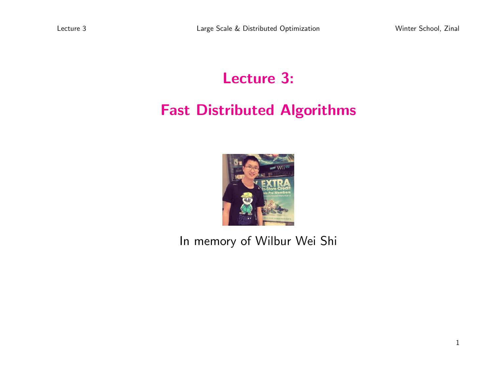# Lecture 3: Fast Distributed Algorithms



In memory of Wilbur Wei Shi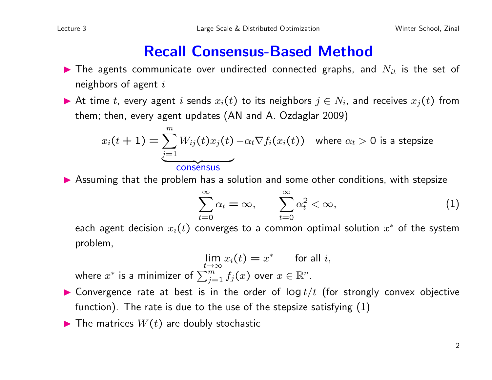#### Recall Consensus-Based Method

- $\blacktriangleright$  The agents communicate over undirected connected graphs, and  $N_{it}$  is the set of neighbors of agent  $i$
- At time t, every agent i sends  $x_i(t)$  to its neighbors  $j \in N_i$ , and receives  $x_j(t)$  from them; then, every agent updates (AN and A. Ozdaglar 2009)

$$
x_i(t+1) = \underbrace{\sum_{j=1}^{m} W_{ij}(t)x_j(t)}_{\text{consensus}}
$$
 where  $\alpha_t > 0$  is a stepsize

**In Assuming that the problem has a solution and some other conditions, with stepsize** 

$$
\sum_{t=0}^{\infty} \alpha_t = \infty, \qquad \sum_{t=0}^{\infty} \alpha_t^2 < \infty,\tag{1}
$$

each agent decision  $x_i(t)$  converges to a common optimal solution  $x^\ast$  of the system problem,

$$
\lim_{t \to \infty} x_i(t) = x^* \qquad \text{for all } i,
$$

where  $x^*$  is a minimizer of  $\sum_{j=1}^m f_j(x)$  over  $x \in \mathbb{R}^n$ .

- **In Convergence rate at best is in the order of log t/t (for strongly convex objective** function). The rate is due to the use of the stepsize satisfying (1)
- $\blacktriangleright$  The matrices  $W(t)$  are doubly stochastic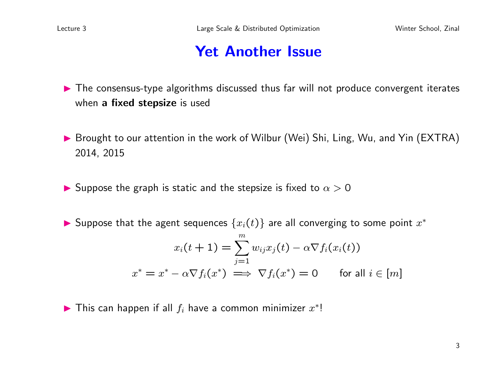#### **Yet Another Issue**

- Intertural The consensus-type algorithms discussed thus far will not produce convergent iterates when a fixed stepsize is used
- ▶ Brought to our attention in the work of Wilbur (Wei) Shi, Ling, Wu, and Yin (EXTRA) 2014, 2015
- **If** Suppose the graph is static and the stepsize is fixed to  $\alpha > 0$
- ▶ Suppose that the agent sequences  $\{x_i(t)\}$  are all converging to some point  $x^*$

$$
x_i(t+1) = \sum_{j=1}^m w_{ij} x_j(t) - \alpha \nabla f_i(x_i(t))
$$
  

$$
x^* = x^* - \alpha \nabla f_i(x^*) \implies \nabla f_i(x^*) = 0 \quad \text{for all } i \in [m]
$$

▶ This can happen if all  $f_i$  have a common minimizer  $x^*!$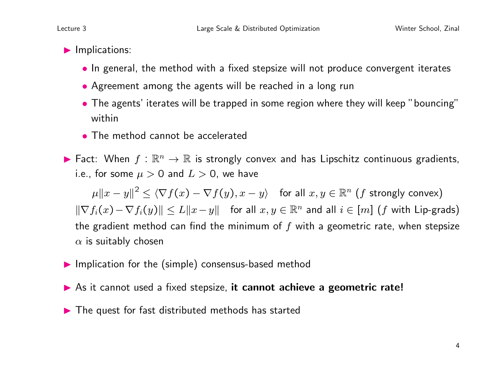- $\blacktriangleright$  Implications:
	- In general, the method with a fixed stepsize will not produce convergent iterates
	- Agreement among the agents will be reached in a long run
	- The agents' iterates will be trapped in some region where they will keep "bouncing" within
	- The method cannot be accelerated
- ► Fact: When  $f : \mathbb{R}^n \to \mathbb{R}$  is strongly convex and has Lipschitz continuous gradients, i.e., for some  $\mu > 0$  and  $L > 0$ , we have

 $\| \mu \| x - y \|^2 \leq \langle \nabla f(x) - \nabla f(y), x - y \rangle \quad \text{for all } x, y \in \mathbb{R}^n \text{ (}f \text{ strongly convex)} \text{.}$  $\|\nabla f_i(x)-\nabla f_i(y)\| \leq L\|x-y\|$  for all  $x, y \in \mathbb{R}^n$  and all  $i \in [m]$  (f with Lip-grads) the gradient method can find the minimum of  $f$  with a geometric rate, when stepsize  $\alpha$  is suitably chosen

- $\blacktriangleright$  Implication for the (simple) consensus-based method
- As it cannot used a fixed stepsize, it cannot achieve a geometric rate!
- $\blacktriangleright$  The quest for fast distributed methods has started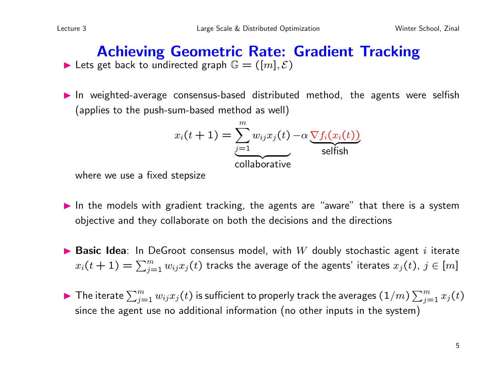#### Achieving Geometric Rate: Gradient Tracking In Lets get back to undirected graph  $\mathbb{G} = ([m], \mathcal{E})$

In weighted-average consensus-based distributed method, the agents were selfish (applies to the push-sum-based method as well)

$$
x_i(t+1) = \underbrace{\sum_{j=1}^{m} w_{ij} x_j(t) - \alpha \underbrace{\nabla f_i(x_i(t))}_{\text{selfish}}
$$

where we use a fixed stepsize

- $\blacktriangleright$  In the models with gradient tracking, the agents are "aware" that there is a system objective and they collaborate on both the decisions and the directions
- **Basic Idea**: In DeGroot consensus model, with  $W$  doubly stochastic agent i iterate  $x_i(t+1) = \sum_{j=1}^m w_{ij} x_j(t)$  tracks the average of the agents' iterates  $x_j(t)$ ,  $j \in [m]$
- $\blacktriangleright$  The iterate  $\sum_{j=1}^m w_{ij}x_j(t)$  is sufficient to properly track the averages  $(1/m)\sum_{j=1}^m x_j(t)$ since the agent use no additional information (no other inputs in the system)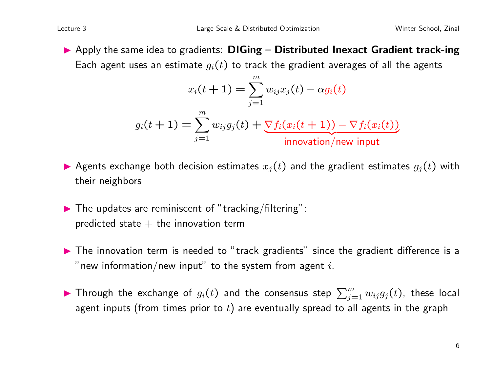$\blacktriangleright$  Apply the same idea to gradients: DIGing – Distributed Inexact Gradient track-ing Each agent uses an estimate  $g_i(t)$  to track the gradient averages of all the agents

$$
x_i(t+1) = \sum_{j=1}^m w_{ij} x_j(t) - \alpha g_i(t)
$$

$$
g_i(t+1) = \sum_{j=1}^m w_{ij} g_j(t) + \underbrace{\nabla f_i(x_i(t+1)) - \nabla f_i(x_i(t))}_{\text{innovation/new input}}
$$

- Agents exchange both decision estimates  $x_i(t)$  and the gradient estimates  $g_i(t)$  with their neighbors
- $\blacktriangleright$  The updates are reminiscent of "tracking/filtering": predicted state  $+$  the innovation term
- $\blacktriangleright$  The innovation term is needed to "track gradients" since the gradient difference is a " new information/new input" to the system from agent  $i$ .
- $\blacktriangleright$  Through the exchange of  $g_i(t)$  and the consensus step  $\sum_{j=1}^m w_{ij}g_j(t)$ , these local agent inputs (from times prior to  $t$ ) are eventually spread to all agents in the graph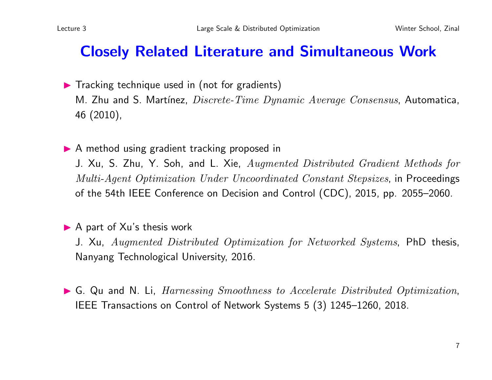#### Closely Related Literature and Simultaneous Work

- $\blacktriangleright$  Tracking technique used in (not for gradients) M. Zhu and S. Martínez,  $Discrete-Time Dynamic Average Consensus$ , Automatica, 46 (2010),
- ▶ A method using gradient tracking proposed in

J. Xu, S. Zhu, Y. Soh, and L. Xie, Augmented Distributed Gradient Methods for Multi-Agent Optimization Under Uncoordinated Constant Stepsizes, in Proceedings of the 54th IEEE Conference on Decision and Control (CDC), 2015, pp. 2055–2060.

#### $\blacktriangleright$  A part of Xu's thesis work

J. Xu, Augmented Distributed Optimization for Networked Systems, PhD thesis, Nanyang Technological University, 2016.

 $\triangleright$  G. Qu and N. Li, *Harnessing Smoothness to Accelerate Distributed Optimization*, IEEE Transactions on Control of Network Systems 5 (3) 1245–1260, 2018.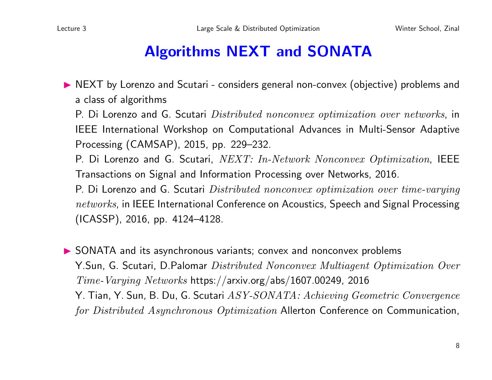# Algorithms NEXT and SONATA

▶ NEXT by Lorenzo and Scutari - considers general non-convex (objective) problems and a class of algorithms

P. Di Lorenzo and G. Scutari Distributed nonconvex optimization over networks, in IEEE International Workshop on Computational Advances in Multi-Sensor Adaptive Processing (CAMSAP), 2015, pp. 229–232.

P. Di Lorenzo and G. Scutari, NEXT: In-Network Nonconvex Optimization, IEEE Transactions on Signal and Information Processing over Networks, 2016.

P. Di Lorenzo and G. Scutari Distributed nonconvex optimization over time-varying networks, in IEEE International Conference on Acoustics, Speech and Signal Processing (ICASSP), 2016, pp. 4124–4128.

▶ SONATA and its asynchronous variants; convex and nonconvex problems Y.Sun, G. Scutari, D.Palomar Distributed Nonconvex Multiagent Optimization Over Time-Varying Networks https://arxiv.org/abs/1607.00249, 2016 Y. Tian, Y. Sun, B. Du, G. Scutari ASY-SONATA: Achieving Geometric Convergence for Distributed Asynchronous Optimization Allerton Conference on Communication,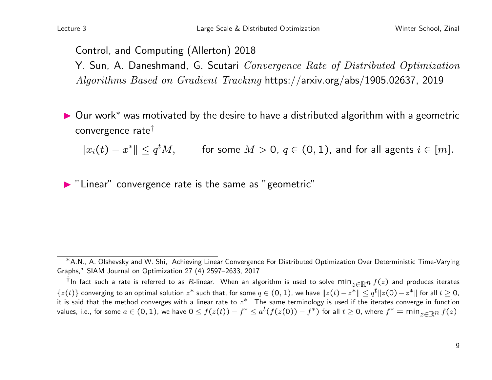Control, and Computing (Allerton) 2018

Y. Sun, A. Daneshmand, G. Scutari Convergence Rate of Distributed Optimization Algorithms Based on Gradient Tracking https://arxiv.org/abs/1905.02637, 2019

D Our work<sup>∗</sup> was motivated by the desire to have a distributed algorithm with a geometric convergence rate†

 $||x_i(t) - x^*|| \le q^t M$ , for some  $M > 0$ ,  $q \in (0, 1)$ , and for all agents  $i \in [m]$ .

 $\blacktriangleright$  "Linear" convergence rate is the same as "geometric"

<sup>∗</sup>A.N., A. Olshevsky and W. Shi, Achieving Linear Convergence For Distributed Optimization Over Deterministic Time-Varying Graphs," SIAM Journal on Optimization 27 (4) 2597–2633, 2017

<sup>†</sup>In fact such a rate is referred to as R-linear. When an algorithm is used to solve min<sub>z∈Rn</sub>  $f(z)$  and produces iterates  $\{z(t)\}$  converging to an optimal solution  $z^*$  such that, for some  $q\in(0,1)$ , we have  $\|z(t)-z^*\|\leq q^t\|z(0)-z^*\|$  for all  $t\geq 0$ , it is said that the method converges with a linear rate to  $z^*$ . The same terminology is used if the iterates converge in function values, i.e., for some  $a\in (0,1)$ , we have  $0\le f(z(t))-f^*\le a^t(f(z(0))-f^*)$  for all  $t\ge 0$ , where  $f^*=\min_{z\in \R^n}f(z)$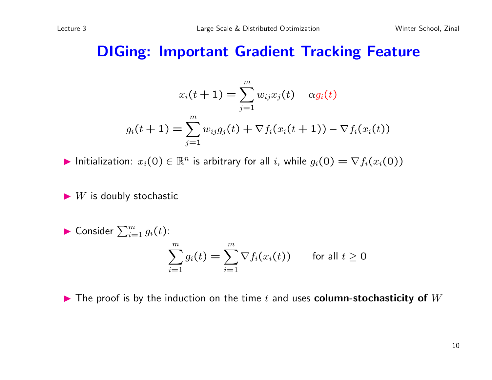#### DIGing: Important Gradient Tracking Feature

$$
x_i(t+1) = \sum_{j=1}^m w_{ij} x_j(t) - \alpha g_i(t)
$$

$$
g_i(t+1) = \sum_{j=1}^m w_{ij} g_j(t) + \nabla f_i(x_i(t+1)) - \nabla f_i(x_i(t))
$$

Initialization:  $x_i(0) \in \mathbb{R}^n$  is arbitrary for all i, while  $g_i(0) = \nabla f_i(x_i(0))$ 

 $\blacktriangleright$  W is doubly stochastic

Consider 
$$
\sum_{i=1}^{m} g_i(t)
$$
:  
\n
$$
\sum_{i=1}^{m} g_i(t) = \sum_{i=1}^{m} \nabla f_i(x_i(t)) \quad \text{for all } t \ge 0
$$

 $\blacktriangleright$  The proof is by the induction on the time t and uses column-stochasticity of  $W$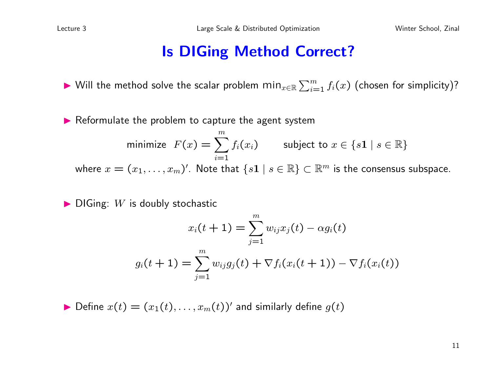#### Is DIGing Method Correct?

▶ Will the method solve the scalar problem  $\min_{x \in \mathbb{R}} \sum_{i=1}^{m} f_i(x)$  (chosen for simplicity)?

 $\blacktriangleright$  Reformulate the problem to capture the agent system

minimize 
$$
F(x) = \sum_{i=1}^{m} f_i(x_i)
$$
 subject to  $x \in \{s1 \mid s \in \mathbb{R}\}$   
where  $x = (x_1, \dots, x_m)'$ . Note that  $\{s1 \mid s \in \mathbb{R}\} \subset \mathbb{R}^m$  is the consensus subspace.

 $\blacktriangleright$  DIGing: W is doubly stochastic

$$
x_i(t+1) = \sum_{j=1}^m w_{ij} x_j(t) - \alpha g_i(t)
$$

$$
g_i(t+1) = \sum_{j=1}^m w_{ij} g_j(t) + \nabla f_i(x_i(t+1)) - \nabla f_i(x_i(t))
$$

 $\blacktriangleright$  Define  $x(t) = (x_1(t), \ldots, x_m(t))'$  and similarly define  $g(t)$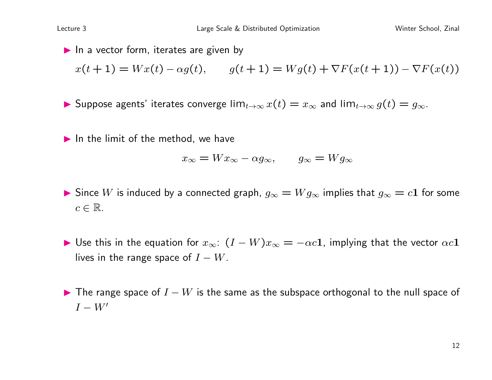$\blacktriangleright$  In a vector form, iterates are given by  $x(t + 1) = Wx(t) - \alpha g(t),$   $g(t + 1) = Wg(t) + \nabla F(x(t + 1)) - \nabla F(x(t))$ 

**I** Suppose agents' iterates converge  $\lim_{t\to\infty} x(t) = x_\infty$  and  $\lim_{t\to\infty} g(t) = g_\infty$ .

 $\blacktriangleright$  In the limit of the method, we have

$$
x_{\infty} = Wx_{\infty} - \alpha g_{\infty}, \qquad g_{\infty} = Wg_{\infty}
$$

- $\blacktriangleright$  Since W is induced by a connected graph,  $g_{\infty} = W g_{\infty}$  implies that  $g_{\infty} = c1$  for some  $c \in \mathbb{R}$ .
- $\blacktriangleright$  Use this in the equation for  $x_{\infty}$ :  $(I W)x_{\infty} = -\alpha c \mathbf{1}$ , implying that the vector  $\alpha c \mathbf{1}$ lives in the range space of  $I - W$ .
- $\blacktriangleright$  The range space of  $I W$  is the same as the subspace orthogonal to the null space of  $I - W'$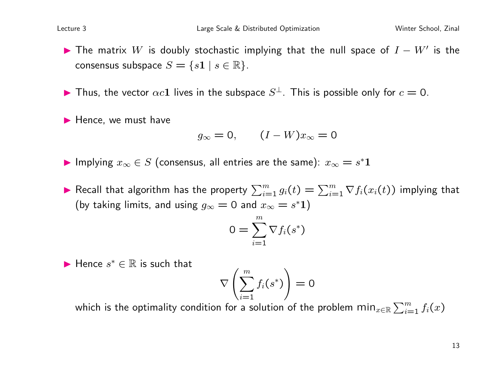The matrix  $W$  is doubly stochastic implying that the null space of  $I - W'$  is the consensus subspace  $S = \{s1 \mid s \in \mathbb{R}\}.$ 

Thus, the vector  $\alpha c \mathbf{1}$  lives in the subspace  $S^{\perp}$ . This is possible only for  $c = 0$ .

 $\blacktriangleright$  Hence, we must have

$$
g_{\infty} = 0, \qquad (I - W)x_{\infty} = 0
$$

▶ Implying  $x_\infty \in S$  (consensus, all entries are the same):  $x_\infty = s^* 1$ 

▶ Recall that algorithm has the property  $\sum_{i=1}^m g_i(t) = \sum_{i=1}^m \nabla f_i(x_i(t))$  implying that (by taking limits, and using  $g_{\infty} = 0$  and  $x_{\infty} = s^* 1$ )

$$
0=\sum_{i=1}^m \nabla f_i(s^*)
$$

 $\blacktriangleright$  Hence  $s^* \in \mathbb{R}$  is such that

$$
\nabla\left(\sum_{i=1}^m f_i(s^*)\right) = 0
$$

which is the optimality condition for a solution of the problem  $\min_{x\in \mathbb{R}} \sum_{i=1}^m f_i(x)$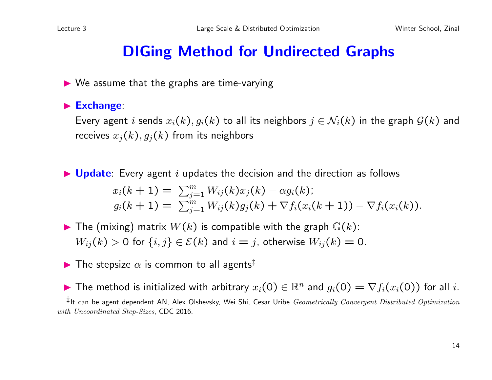# DIGing Method for Undirected Graphs

 $\triangleright$  We assume that the graphs are time-varying

 $\blacktriangleright$  Exchange:

Every agent i sends  $x_i(k)$ ,  $g_i(k)$  to all its neighbors  $j \in \mathcal{N}_i(k)$  in the graph  $\mathcal{G}(k)$  and receives  $x_j(k)$ ,  $g_j(k)$  from its neighbors

 $\blacktriangleright$  Update: Every agent i updates the decision and the direction as follows

$$
x_i(k+1) = \sum_{j=1}^m W_{ij}(k)x_j(k) - \alpha g_i(k);
$$
  
\n
$$
g_i(k+1) = \sum_{j=1}^m W_{ij}(k)g_j(k) + \nabla f_i(x_i(k+1)) - \nabla f_i(x_i(k)).
$$

 $\blacktriangleright$  The (mixing) matrix  $W(k)$  is compatible with the graph  $\mathbb{G}(k)$ :  $W_{ij}(k) > 0$  for  $\{i, j\} \in \mathcal{E}(k)$  and  $i = j$ , otherwise  $W_{ij}(k) = 0$ .

 $\blacktriangleright$  The stepsize  $\alpha$  is common to all agents<sup>‡</sup>

**IF The method is initialized with arbitrary**  $x_i(0) \in \mathbb{R}^n$  and  $g_i(0) = \nabla f_i(x_i(0))$  for all *i*.

 $\ddagger$ It can be agent dependent AN, Alex Olshevsky, Wei Shi, Cesar Uribe Geometrically Convergent Distributed Optimization with Uncoordinated Step-Sizes, CDC 2016.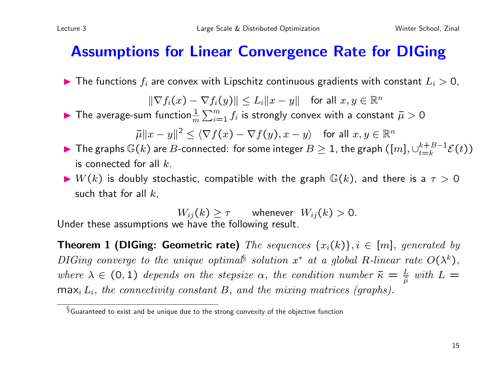#### Assumptions for Linear Convergence Rate for DIGing

 $\blacktriangleright$  The functions  $f_i$  are convex with Lipschitz continuous gradients with constant  $L_i > 0$ ,

 $\|\nabla f_i(x) - \nabla f_i(y)\| \leq L_i \|x - y\|$  for all  $x, y \in \mathbb{R}^n$ 

 $\blacktriangleright$  The average-sum function $\frac{1}{m}\sum_{i=1}^m f_i$  is strongly convex with a constant  $\bar{\mu} > 0$ 

 $\|\bar{\mu}\|x-y\|^2 \le \langle \nabla f(x) - \nabla f(y), x - y \rangle \quad \text{for all } x, y \in \mathbb{R}^n$ 

- ▶ The graphs  $\mathbb{G}(k)$  are  $B$ -connected: for some integer  $B\geq 1$ , the graph  $([m],\cup_{t=k}^{k+B-1}]$  $_{t=k}^{k+B-1}E(t))$ is connected for all  $k$ .
- $\blacktriangleright$   $W(k)$  is doubly stochastic, compatible with the graph  $\mathbb{G}(k)$ , and there is a  $\tau > 0$ such that for all  $k$ ,

 $W_{ij}(k) \geq \tau$  whenever  $W_{ij}(k) > 0$ . Under these assumptions we have the following result.

**Theorem 1 (DIGing: Geometric rate)** The sequences  $\{x_i(k)\}, i \in [m]$ , generated by DIGing converge to the unique optimal<sup>§</sup> solution  $x^*$  at a global R-linear rate  $O(\lambda^k)$ , where  $\lambda \in (0,1)$  depends on the stepsize  $\alpha$ , the condition number  $\bar{\kappa} = \frac{L}{\bar{\mu}}$  with  $L =$  $\max_i L_i$ , the connectivity constant B, and the mixing matrices (graphs).

 $\S$ Guaranteed to exist and be unique due to the strong convexity of the objective function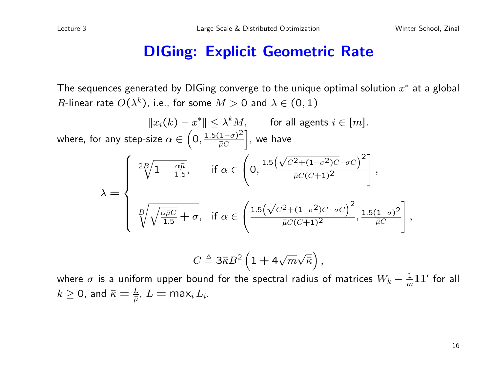#### DIGing: Explicit Geometric Rate

The sequences generated by DIGing converge to the unique optimal solution  $x^*$  at a global  $R$ -linear rate  $O(\lambda^k)$ , i.e., for some  $M>0$  and  $\lambda\in(0,1)$ 

$$
||x_i(k) - x^*|| \le \lambda^k M, \quad \text{for all agents } i \in [m].
$$
  
where, for any step-size  $\alpha \in \left(0, \frac{1.5(1-\sigma)^2}{\bar{\mu}C}\right]$ , we have  

$$
\lambda = \begin{cases} 2B\sqrt{1 - \frac{\alpha \bar{\mu}}{1.5}}, & \text{if } \alpha \in \left(0, \frac{1.5\left(\sqrt{C^2 + (1-\sigma^2)C} - \sigma C\right)^2}{\bar{\mu}C(C+1)^2}\right], \\ \frac{B}{\sqrt{\sqrt{\frac{\alpha \bar{\mu}C}{1.5}}} + \sigma, & \text{if } \alpha \in \left(\frac{1.5\left(\sqrt{C^2 + (1-\sigma^2)C} - \sigma C\right)^2}{\bar{\mu}C(C+1)^2}, \frac{1.5(1-\sigma)^2}{\bar{\mu}C}\right], \\ C \triangleq 3\bar{\kappa}B^2 \left(1 + 4\sqrt{m}\sqrt{\bar{\kappa}}\right), \end{cases}
$$

where  $\sigma$  is a uniform upper bound for the spectral radius of matrices  $W_k - \frac{1}{m}\mathbf{1}\mathbf{1}'$  for all  $k\geq$  0, and  $\bar{\kappa}=\frac{L}{\bar{\mu}}$ ,  $L=$  max $_{i}$   $L_{i}.$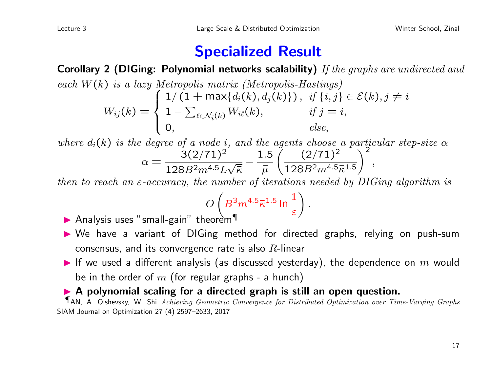#### Specialized Result

Corollary 2 (DIGing: Polynomial networks scalability) If the graphs are undirected and each  $W(k)$  is a lazy Metropolis matrix (Metropolis-Hastings)  $W_{ij}(k) =$  $\sqrt{ }$  $\int$  $\overline{\mathcal{L}}$  $1/(1 + \max\{d_i(k), d_j(k)\})$ , if  $\{i, j\} \in \mathcal{E}(k)$ ,  $j \neq i$  $1-\sum$  $\iota_{\in\mathcal{N}_i(k)} W_{i\ell}(k), \qquad \text{if } j = i,$  $\qquad \qquad 0, \qquad \qquad else,$ 

where  $d_i(k)$  is the degree of a node i, and the agents choose a particular step-size  $\alpha$  $\alpha =$  $3(2/71)^2$  $128B^2m^{4.5}L$ √  $\overline{\overline{\kappa}}$ − 1.5  $\bar{\mu}$  $(2/71)^2$  $128B^2m^{4.5}\bar{\kappa}^{1.5}$  $\sqrt{2}$ ,

then to reach an  $\varepsilon$ -accuracy, the number of iterations needed by DIGing algorithm is

$$
O\left(B^3 m^{4.5} \bar{\kappa}^{1.5} \ln \frac{1}{\varepsilon}\right)
$$

.

- Analysis uses "small-gain" theorem
- lacktriangleright Me have a variant of DIGing method for directed graphs, relying on push-sum consensus, and its convergence rate is also  $R$ -linear
- If we used a different analysis (as discussed yesterday), the dependence on  $m$  would be in the order of m (for regular graphs - a hunch)

#### A polynomial scaling for a directed graph is still an open question.

¶AN, A. Olshevsky, W. Shi Achieving Geometric Convergence for Distributed Optimization over Time-Varying Graphs SIAM Journal on Optimization 27 (4) 2597–2633, 2017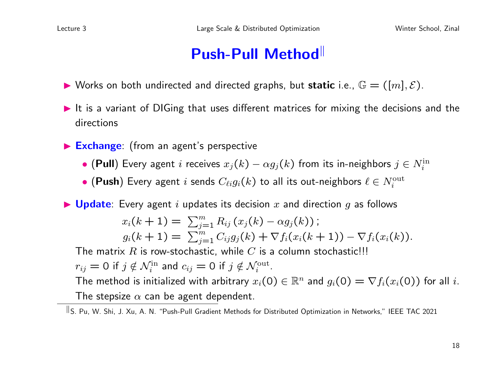# Push-Pull Method

- $\blacktriangleright$  Works on both undirected and directed graphs, but static i.e.,  $\mathbb{G} = ([m], \mathcal{E})$ .
- $\blacktriangleright$  It is a variant of DIGing that uses different matrices for mixing the decisions and the directions
- Exchange: (from an agent's perspective
	- (Pull) Every agent  $i$  receives  $x_j(k)-\alpha g_j(k)$  from its in-neighbors  $j\in N_i^\text{in}$
	- $\bullet$  (Push) Every agent  $i$  sends  $C_{\ell i} g_i(k)$  to all its out-neighbors  $\ell \in N_i^{\text{out}}$

 $\blacktriangleright$  Update: Every agent i updates its decision x and direction q as follows

$$
x_i(k+1) = \sum_{j=1}^m R_{ij}(x_j(k) - \alpha g_j(k));
$$
  
\n
$$
g_i(k+1) = \sum_{j=1}^m C_{ij}g_j(k) + \nabla f_i(x_i(k+1)) - \nabla f_i(x_i(k)).
$$

The matrix R is row-stochastic, while C is a column stochastic!!!

 $r_{ij} = 0$  if  $j \notin \mathcal{N}_i^{\text{in}}$  and  $c_{ij} = 0$  if  $j \notin \mathcal{N}_i^{\text{out}}$ .

The method is initialized with arbitrary  $x_i(0) \in \mathbb{R}^n$  and  $g_i(0) = \nabla f_i(x_i(0))$  for all i. The stepsize  $\alpha$  can be agent dependent.

 $\overline{\parallel}$ S. Pu, W. Shi, J. Xu, A. N. "Push-Pull Gradient Methods for Distributed Optimization in Networks," IEEE TAC 2021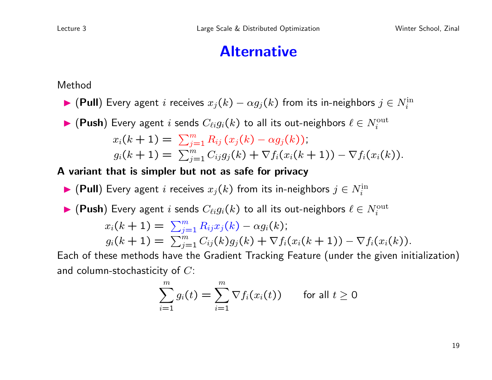#### Alternative

Method

- ▶ (Pull) Every agent i receives  $x_j(k) \alpha g_j(k)$  from its in-neighbors  $j \in N_i^{\text{in}}$
- $\blacktriangleright$  (Push) Every agent i sends  $C_{\ell i} g_i(k)$  to all its out-neighbors  $\ell \in N_i^{\text{out}}$  $x_i(k+1) = \sum_{j=1}^m R_{ij} (x_j(k) - \alpha g_j(k))$ ;  $g_i(k+1) = \sum_{j=1}^m C_{ij} g_j(k) + \nabla f_i(x_i(k+1)) - \nabla f_i(x_i(k)).$

#### A variant that is simpler but not as safe for privacy

▶ (Pull) Every agent i receives  $x_j(k)$  from its in-neighbors  $j \in N_i^\text{in}$ 

► (Push) Every agent *i* sends 
$$
C_{\ell i}g_i(k)
$$
 to all its out-neighbors  $\ell \in N_i^{\text{out}}$   
\n $x_i(k+1) = \sum_{j=1}^m R_{ij}x_j(k) - \alpha g_i(k);$   
\n $g_i(k+1) = \sum_{j=1}^m C_{ij}(k)g_j(k) + \nabla f_i(x_i(k+1)) - \nabla f_i(x_i(k)).$   
\nEach of these methods have the Gradient Tracking Feature (under the given initial

ch of these methods have the Gradient Tracking Feature (under the given initialization) and column-stochasticity of  $C$ :

$$
\sum_{i=1}^{m} g_i(t) = \sum_{i=1}^{m} \nabla f_i(x_i(t)) \quad \text{for all } t \geq 0
$$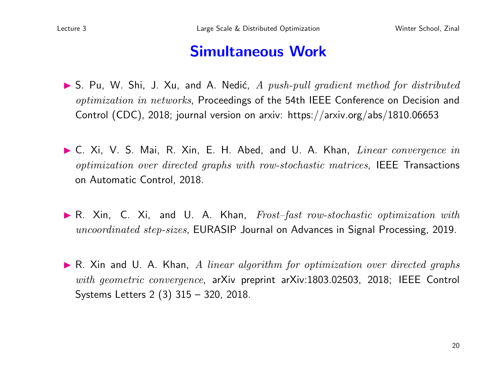#### Simultaneous Work

- $\triangleright$  S. Pu, W. Shi, J. Xu, and A. Nedić, A push-pull gradient method for distributed optimization in networks, Proceedings of the 54th IEEE Conference on Decision and Control (CDC), 2018; journal version on arxiv: https://arxiv.org/abs/1810.06653
- $\blacktriangleright$  C. Xi, V. S. Mai, R. Xin, E. H. Abed, and U. A. Khan, *Linear convergence in* optimization over directed graphs with row-stochastic matrices, IEEE Transactions on Automatic Control, 2018.
- $\blacktriangleright$  R. Xin, C. Xi, and U. A. Khan,  $Frost–fast\ row-stochastic\ optimization\ with$ uncoordinated step-sizes, EURASIP Journal on Advances in Signal Processing, 2019.
- $\blacktriangleright$  R. Xin and U. A. Khan, A linear algorithm for optimization over directed graphs with geometric convergence, arXiv preprint arXiv:1803.02503, 2018; IEEE Control Systems Letters 2 (3) 315 – 320, 2018.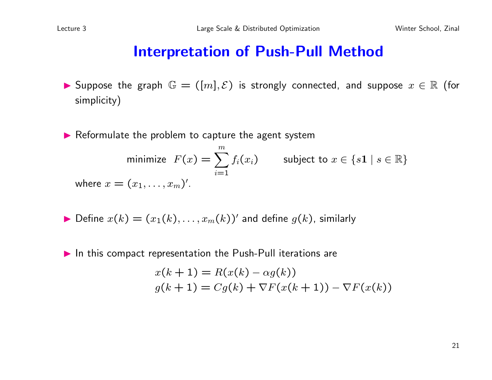#### Interpretation of Push-Pull Method

- **►** Suppose the graph  $\mathbb{G} = ([m], \mathcal{E})$  is strongly connected, and suppose  $x \in \mathbb{R}$  (for simplicity)
- $\blacktriangleright$  Reformulate the problem to capture the agent system

minimize 
$$
F(x) = \sum_{i=1}^{m} f_i(x_i)
$$
 subject to  $x \in \{s1 \mid s \in \mathbb{R}\}$   
where  $x = (x_1, \dots, x_m)'$ .

• Define 
$$
x(k) = (x_1(k), \ldots, x_m(k))'
$$
 and define  $g(k)$ , similarly

 $\blacktriangleright$  In this compact representation the Push-Pull iterations are

$$
x(k+1) = R(x(k) - \alpha g(k))
$$
  

$$
g(k+1) = Cg(k) + \nabla F(x(k+1)) - \nabla F(x(k))
$$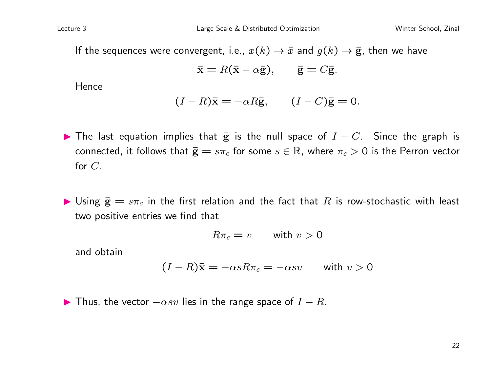If the sequences were convergent, i.e.,  $x(k) \rightarrow \bar{x}$  and  $g(k) \rightarrow \bar{g}$ , then we have

$$
\bar{\mathbf{x}} = R(\bar{\mathbf{x}} - \alpha \bar{\mathbf{g}}), \qquad \bar{\mathbf{g}} = C\bar{\mathbf{g}}.
$$

**Hence** 

$$
(I - R)\overline{\mathbf{x}} = -\alpha R\overline{\mathbf{g}}, \qquad (I - C)\overline{\mathbf{g}} = 0.
$$

- $\blacktriangleright$  The last equation implies that  $\bar{g}$  is the null space of  $I C$ . Since the graph is connected, it follows that  $\bar{\mathbf{g}} = s\pi_c$  for some  $s \in \mathbb{R}$ , where  $\pi_c > 0$  is the Perron vector for C.
- $\blacktriangleright$  Using  $\bar{\mathbf{g}} = s\pi_c$  in the first relation and the fact that  $R$  is row-stochastic with least two positive entries we find that

$$
R\pi_c = v \qquad \text{with } v > 0
$$

and obtain

$$
(I - R)\bar{\mathbf{x}} = -\alpha s R \pi_c = -\alpha s v \qquad \text{with } v > 0
$$

**IF** Thus, the vector  $-\alpha sv$  lies in the range space of  $I - R$ .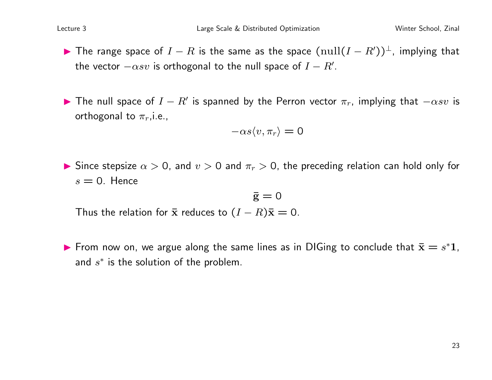- **IF The range space of**  $I R$  is the same as the space  $(\text{null}(I R'))^{\perp}$ , implying that the vector  $-\alpha sv$  is orthogonal to the null space of  $I - R'.$
- The null space of  $I R'$  is spanned by the Perron vector  $\pi_r$ , implying that  $-\alpha s v$  is orthogonal to  $\pi_r$ , i.e.,

$$
-\alpha s \langle v, \pi_r \rangle = 0
$$

Since stepsize  $\alpha > 0$ , and  $v > 0$  and  $\pi_r > 0$ , the preceding relation can hold only for  $s = 0$ . Hence

$$
\bar{\mathrm{g}}=0
$$

Thus the relation for  $\bar{x}$  reduces to  $(I - R)\bar{x} = 0$ .

From now on, we argue along the same lines as in DIGing to conclude that  $\bar{\mathbf{x}} = s^* \mathbf{1}$ , and  $s^*$  is the solution of the problem.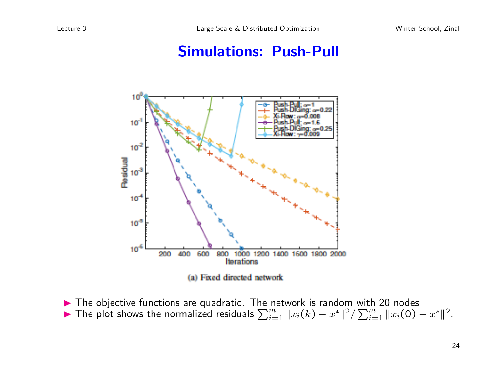#### Simulations: Push-Pull



 $\blacktriangleright$  The objective functions are quadratic. The network is random with 20 nodes The plot shows the normalized residuals  $\sum_{i=1}^{m} ||x_i(k) - x^*||^2 / \sum_{i=1}^{m} ||x_i(0) - x^*||^2$ .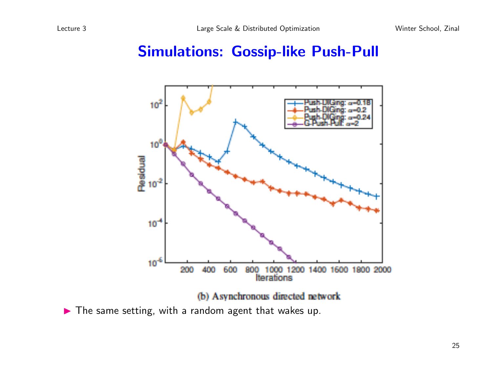#### Simulations: Gossip-like Push-Pull



(b) Asynchronous directed network

 $\blacktriangleright$  The same setting, with a random agent that wakes up.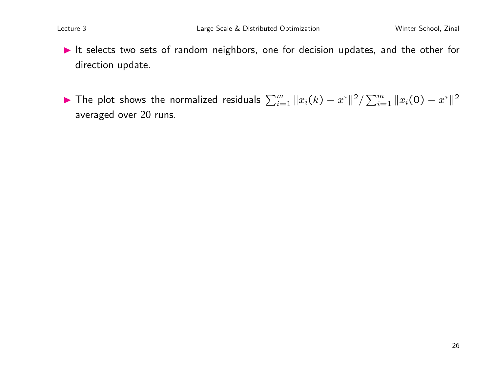- It selects two sets of random neighbors, one for decision updates, and the other for direction update.
- ▶ The plot shows the normalized residuals  $\sum_{i=1}^{m} ||x_i(k) x^*||^2 / \sum_{i=1}^{m} ||x_i(0) x^*||^2$ averaged over 20 runs.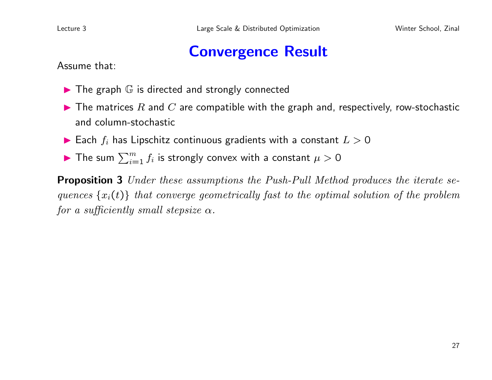#### Convergence Result

Assume that:

- $\blacktriangleright$  The graph  $\mathbb G$  is directed and strongly connected
- $\blacktriangleright$  The matrices R and C are compatible with the graph and, respectively, row-stochastic and column-stochastic
- $\blacktriangleright$  Each  $f_i$  has Lipschitz continuous gradients with a constant  $L > 0$
- $\blacktriangleright$  The sum  $\sum_{i=1}^m f_i$  is strongly convex with a constant  $\mu > 0$

**Proposition 3** Under these assumptions the Push-Pull Method produces the iterate sequences  $\{x_i(t)\}\$  that converge geometrically fast to the optimal solution of the problem for a sufficiently small stepsize  $\alpha$ .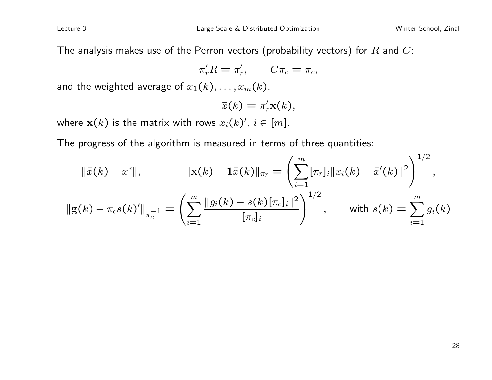The analysis makes use of the Perron vectors (probability vectors) for  $R$  and  $C$ :

 $\pi'_r R = \pi'_r$  $C_{r}$ ,  $C\pi_c = \pi_c$ ,

and the weighted average of  $x_1(k), \ldots, x_m(k)$ .

$$
\bar{x}(k) = \pi'_r \mathbf{x}(k),
$$

where  $\mathbf{x}(k)$  is the matrix with rows  $x_i(k)',\ i\in[m].$ 

The progress of the algorithm is measured in terms of three quantities:

$$
\|\bar{x}(k) - x^*\|, \qquad \|\mathbf{x}(k) - \mathbf{1}\bar{x}(k)\|_{\pi_r} = \left(\sum_{i=1}^m [\pi_r]_i \|x_i(k) - \bar{x}'(k)\|^2\right)^{1/2},
$$

$$
\|\mathbf{g}(k) - \pi_c s(k)'\|_{\pi_c^{-1}} = \left(\sum_{i=1}^m \frac{\|g_i(k) - s(k)[\pi_c]_i\|^2}{[\pi_c]_i}\right)^{1/2}, \qquad \text{with } s(k) = \sum_{i=1}^m g_i(k)
$$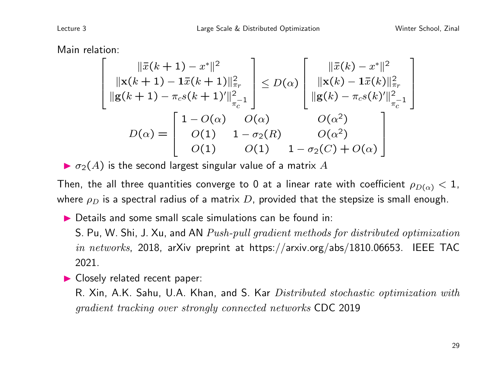Main relation:

$$
\begin{bmatrix}\n||\bar{x}(k+1) - x^*||^2 \\
||\mathbf{x}(k+1) - \mathbf{1}\bar{x}(k+1)||^2_{\pi_r} \\
||\mathbf{g}(k+1) - \pi_c s(k+1)^\prime||^2_{\pi_c^{-1}}\n\end{bmatrix} \le D(\alpha) \begin{bmatrix}\n||\bar{x}(k) - x^*||^2 \\
||\mathbf{x}(k) - \mathbf{1}\bar{x}(k)||^2_{\pi_r} \\
||\mathbf{g}(k) - \pi_c s(k)^\prime||^2_{\pi_c^{-1}}\n\end{bmatrix}
$$
\n
$$
D(\alpha) = \begin{bmatrix}\n1 - O(\alpha) & O(\alpha) & O(\alpha^2) \\
O(1) & 1 - \sigma_2(R) & O(\alpha^2) \\
O(1) & O(1) & 1 - \sigma_2(C) + O(\alpha)\n\end{bmatrix}
$$

 $\blacktriangleright$   $\sigma_2(A)$  is the second largest singular value of a matrix A

Then, the all three quantities converge to 0 at a linear rate with coefficient  $\rho_{D(\alpha)} < 1$ , where  $\rho_D$  is a spectral radius of a matrix D, provided that the stepsize is small enough.

 $\triangleright$  Details and some small scale simulations can be found in:

S. Pu, W. Shi, J. Xu, and AN Push-pull gradient methods for distributed optimization in networks, 2018, arXiv preprint at https://arxiv.org/abs/1810.06653. IEEE TAC 2021.

Closely related recent paper:

R. Xin, A.K. Sahu, U.A. Khan, and S. Kar *Distributed stochastic optimization with* gradient tracking over strongly connected networks CDC 2019